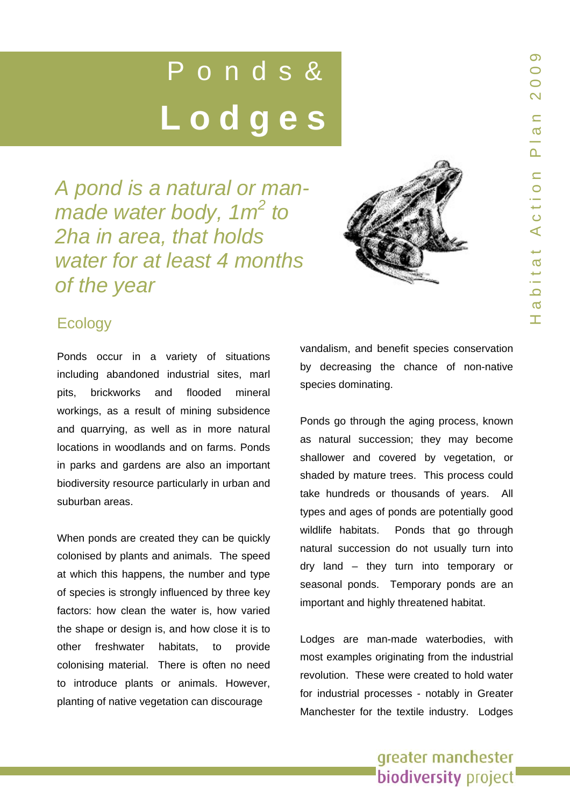# Ponds&  **Lodges**

*A pond is a natural or man-A pond is a natural or manmade water body, 1m<sup>2</sup> to 2ha in area, that holds 2ha in area, that holds water for at least 4 months water for at least 4 months of the year of the year* 



# **Ecology**

Ponds occur in a variety of situations including abandoned industrial sites, marl pits, brickworks and flooded mineral workings, as a result of mining subsidence and quarrying, as well as in more natural locations in woodlands and on farms. Ponds in parks and gardens are also an important biodiversity resource particularly in urban and suburban areas.

When ponds are created they can be quickly colonised by plants and animals. The speed at which this happens, the number and type of species is strongly influenced by three key factors: how clean the water is, how varied the shape or design is, and how close it is to other freshwater habitats, to provide colonising material. There is often no need to introduce plants or animals. However, planting of native vegetation can discourage

vandalism, and benefit species conservation by decreasing the chance of non-native species dominating.

Ponds go through the aging process, known as natural succession; they may become shallower and covered by vegetation, or shaded by mature trees. This process could take hundreds or thousands of years. All types and ages of ponds are potentially good wildlife habitats. Ponds that go through natural succession do not usually turn into dry land – they turn into temporary or seasonal ponds. Temporary ponds are an important and highly threatened habitat.

Lodges are man-made waterbodies, with most examples originating from the industrial revolution. These were created to hold water for industrial processes - notably in Greater Manchester for the textile industry. Lodges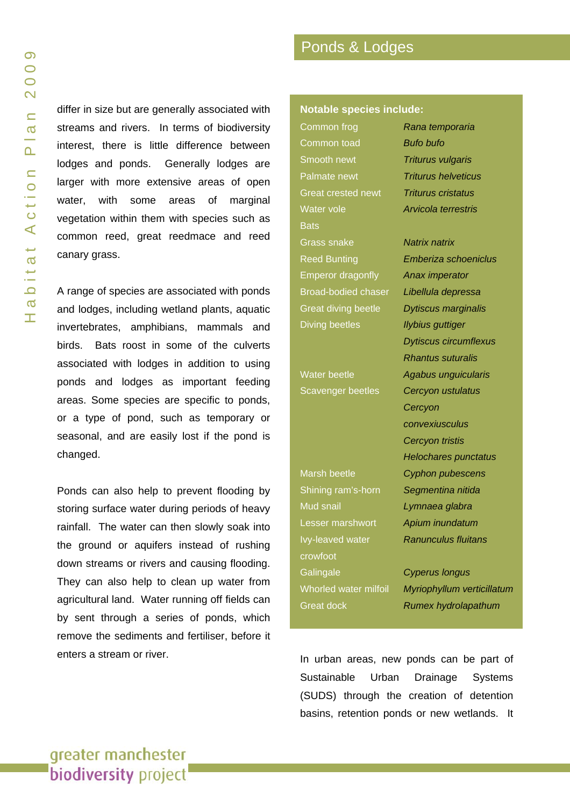differ in size but are generally associated with streams and rivers. In terms of biodiversity interest, there is little difference between lodges and ponds. Generally lodges are larger with more extensive areas of open water, with some areas of marginal vegetation within them with species such as common reed, great reedmace and reed canary grass.

A range of species are associated with ponds and lodges, including wetland plants, aquatic invertebrates, amphibians, mammals and birds. Bats roost in some of the culverts associated with lodges in addition to using ponds and lodges as important feeding areas. Some species are specific to ponds, or a type of pond, such as temporary or seasonal, and are easily lost if the pond is changed.

Ponds can also help to prevent flooding by storing surface water during periods of heavy rainfall. The water can then slowly soak into the ground or aquifers instead of rushing down streams or rivers and causing flooding. They can also help to clean up water from agricultural land. Water running off fields can by sent through a series of ponds, which remove the sediments and fertiliser, before it enters a stream or river.

# Ponds & Lodges

#### **Notable species include:**

Common frog *Rana temporaria* Common toad *Bufo bufo* Smooth newt *Triturus vulgaris* Palmate newt *Triturus helveticus* Great crested newt *Triturus cristatus* Water vole *Arvicola terrestris* **Bats** Grass snake *Natrix natrix* Emperor dragonfly *Anax imperator* Broad-bodied chaser *Libellula depressa* Great diving beetle *Dytiscus marginalis* Diving beetles *Ilybius guttiger*

Shining ram's-horn *Segmentina nitida* Mud snail *Lymnaea glabra* Lesser marshwort *Apium inundatum* Ivy-leaved water *Ranunculus fluitans* crowfoot Galingale *Cyperus longus*

Reed Bunting *Emberiza schoeniclus Dytiscus circumflexus Rhantus suturalis* Water beetle *Agabus unguicularis* Scavenger beetles *Cercyon ustulatus Cercyon convexiusculus Cercyon tristis Helochares punctatus* Marsh beetle *Cyphon pubescens*

Whorled water milfoil *Myriophyllum verticillatum* Great dock *Rumex hydrolapathum*

In urban areas, new ponds can be part of Sustainable Urban Drainage Systems (SUDS) through the creation of detention basins, retention ponds or new wetlands. It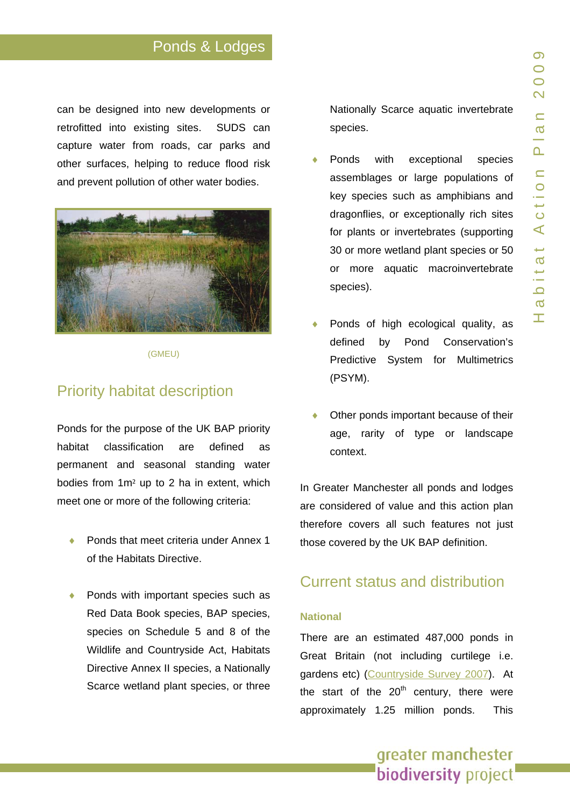# Ponds & Lodges

can be designed into n ew developments or retrofitted into existing sites. SUDS can capture water from roads, car parks and other surfaces, helping to reduce flood risk and prevent pollution of other water bodies.



(GMEU)

### Priority habitat description

Ponds for the purpose of the UK BAP priority habitat classification are defined as permanent and sea sonal standing water bodies from 1m ² up to 2 ha in extent, which meet one or more of the following criteria:

- Ponds that meet criteria under Annex 1 of the Habitats Directive.
- Ponds with important species such as Red Data Book species, BAP species, species on Schedule 5 and 8 of the Wildlife and Countrysid e Act, Habitats Directive Annex II species, a Nationally Scarce wetland plant species, or t hree

Nationally Scarce aquatic invertebrate species.

- Ponds with exceptional species assemblages or large populations of key species such as amphibians and dragonflies, or exceptionally rich sites for plants or invertebrates (supporting 30 or more wetland plant species o r 50 or more aquatic macroinvertebrate species).
- ◆ Ponds of high ecological quality, as defined by Pond Conservation's Predictive System for Multimetrics (PSYM).
- Other ponds important because of their age, rarity of type or landscape context.

In Greater Manchester all ponds and lodges are conside red of value and this action plan therefore covers all such features not just those covered by the UK BAP definition.

### Current status and distribution

#### **National**

There are an estimated 487,000 ponds in Great Britain (not including cur tilege i.e. gardens etc) ([Countryside Survey 2007\)](http://www.countrysidesurvey.org.uk/reports2007.html). At the start of the 20<sup>th</sup> century, there were approximate ly 1.25 million ponds. This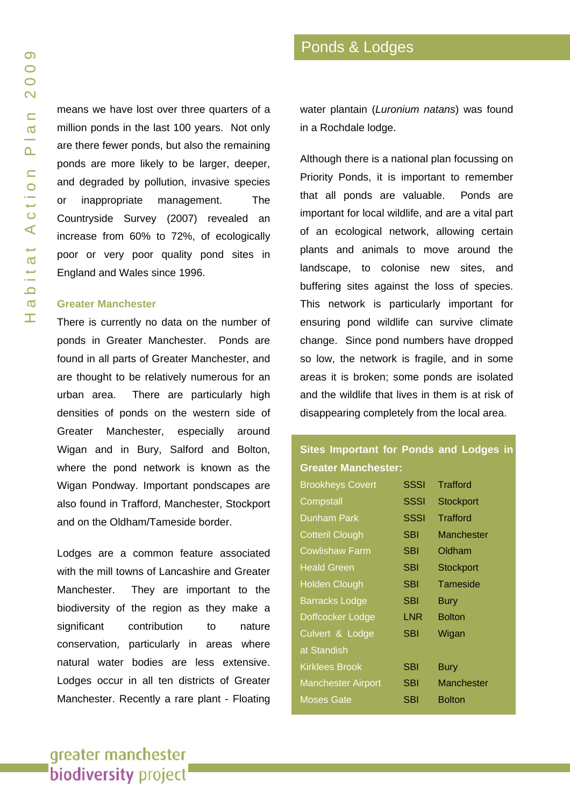means we have lost over three quarters of a million ponds in the last 100 years. Not only are there fewer ponds, but also the remaining ponds are more likely to be larger, deeper, and degraded by pollution, invasive species or inappropriate management. The Countryside Survey (2007) revealed an increase from 60% to 72%, of ecologically poor or very poor quality pond sites in England and Wales since 1996.

#### **Greater Manchester**

There is currently no data on the number of ponds in Greater Manchester. Ponds are found in all parts of Greater Manchester, and are thought to be relatively numerous for an urban area. There are particularly high densities of ponds on the western side of Greater Manchester, especially around Wigan and in Bury, Salford and Bolton, where the pond network is known as the Wigan Pondway. Important pondscapes are also found in Trafford, Manchester, Stockport and on the Oldham/Tameside border.

Lodges are a common feature associated with the mill towns of Lancashire and Greater Manchester. They are important to the biodiversity of the region as they make a significant contribution to nature conservation, particularly in areas where natural water bodies are less extensive. Lodges occur in all ten districts of Greater Manchester. Recently a rare plant - Floating water plantain (*Luronium natans*) was found in a Rochdale lodge.

Although there is a national plan focussing on Priority Ponds, it is important to remember that all ponds are valuable. Ponds are important for local wildlife, and are a vital part of an ecological network, allowing certain plants and animals to move around the landscape, to colonise new sites, and buffering sites against the loss of species. This network is particularly important for ensuring pond wildlife can survive climate change. Since pond numbers have dropped so low, the network is fragile, and in some areas it is broken; some ponds are isolated and the wildlife that lives in them is at risk of disappearing completely from the local area.

### **Sites Important for Ponds and Lodges in Greater Manchester:**

| <b>Brookheys Covert</b>   | SSSI        | <b>Trafford</b>  |
|---------------------------|-------------|------------------|
| Compstall                 | <b>SSSI</b> | <b>Stockport</b> |
| <b>Dunham Park</b>        | <b>SSSI</b> | Trafford         |
| <b>Cotteril Clough</b>    | SBI         | Manchester       |
| <b>Cowlishaw Farm</b>     | SBI         | Oldham           |
| <b>Heald Green</b>        | SBI         | <b>Stockport</b> |
| <b>Holden Clough</b>      | SBI         | Tameside         |
| <b>Barracks Lodge</b>     | SBI         | <b>Bury</b>      |
| Doffcocker Lodge          | LNR         | <b>Bolton</b>    |
| Culvert & Lodge           | SBI         | Wigan            |
| at Standish               |             |                  |
| <b>Kirklees Brook</b>     | SBI         | <b>Bury</b>      |
| <b>Manchester Airport</b> | SBI         | Manchester       |
| Moses Gate                | SBI         | <b>Bolton</b>    |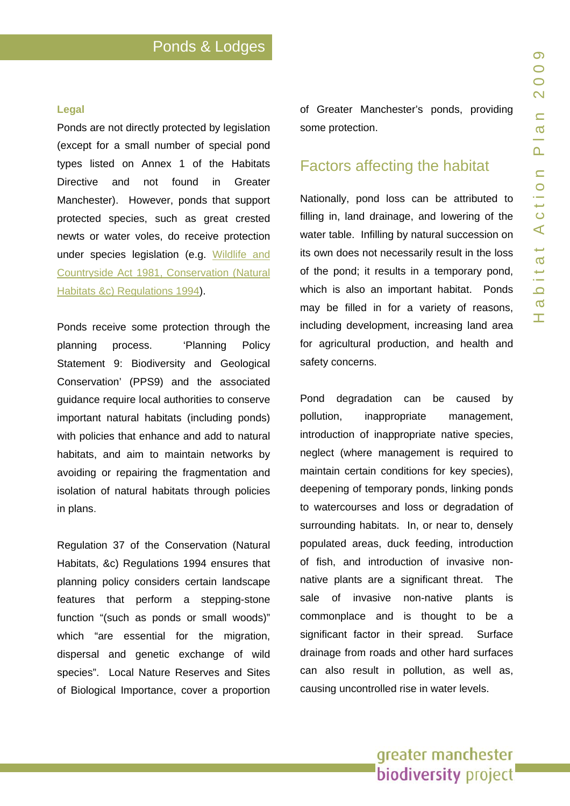#### **Legal**

Ponds are n ot directly protected by legislatio n (except for a small number of special pon d types listed on Annex 1 of the Habitats Directive and not found in Greater Manchester). However, ponds that support protected species, such as great crested newts or water voles, do receive protection under species legislation (e.g. [Wildlife an](http://www.jncc.gov.uk/page-1377)d [Countryside Act 1981,](http://www.jncc.gov.uk/page-1377) [Conservation \(Natural](http://www.opsi.gov.uk/si/si1994/uksi_19942716_en_1.htm)  [Habitats &c\) Regulations 1994](http://www.opsi.gov.uk/si/si1994/uksi_19942716_en_1.htm)).

Ponds receive some protection through the planning process. 'Planning Policy Statement 9: Biodiversity and Geological Conservation' (PPS9) and the associated guidance require local a uthorities to conserve important natural habitats (including ponds) with policies that enhance and add to natural habitats, and aim to maintain networks by avoiding or repairing the fragmentation and isolation of natural habitats through policies in plans.

Regulation 37 of the Conservation (Natural Habitats, &c) Regulations 1994 ensures that planning policy considers certain landscape features that perform a stepping-stone function "(such as ponds or small woods)" which "are essential for the migration, dispersal and genetic exchange of wild species". L ocal Nature Reserves and Sites of Biological Importance, cover a proportion

of Greater Manchester's ponds, providing some protection.

### Factors affecting the habitat

Nationally, pond loss can be attributed to filling in, l and drainage, and lowering of the water table. Infilling by natural succession on its own does not necessarily result in the loss of the pond; it results in a temporary pond, which is also an important habitat. Ponds may be filled in for a variety of reasons, including development, increasing land area for agricultural production, and health and safety concerns.

Pond degradation can be caused by pollution, inappropriate management. introduction of inappro priate native species, neglect (wh ere management is required to maintain certain conditions for key species), deepening o f temporary ponds, linking ponds to watercourses and loss or degradation of surrounding habitats. In, or near to, densely populated areas, duck feeding, introductio n of fish, and introduct ion of invasive nonnative plants are a significant threat. The sale of invasive non-native plants is commonpla ce and is thought to be a significant f actor in their spread. Surface drainage from roads and other hard surfaces can also r esult in pollution, as well as, causing uncontrolled rise in water levels.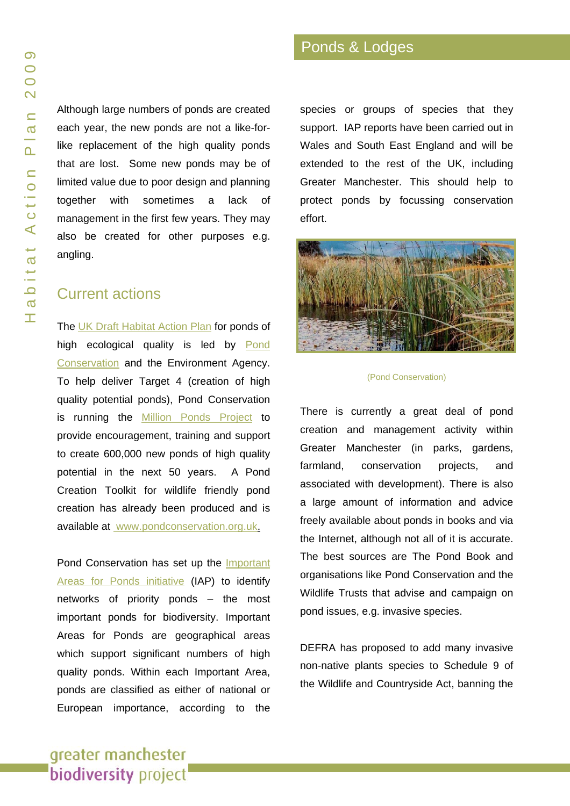Although large numbers of ponds are created each year, the new ponds are not a like-forlike replacement of the high quality ponds that are lost. Some new ponds may be of limited value due to poor design and planning together with sometimes a lack of management in the first few years. They may also be created for other purposes e.g. angling.

### Current actions

The [UK Draft Habitat Action Plan](http://www.pondconservation.org.uk/pond_hap/draftpondhabitatactionplan.htm) for ponds of high ecological quality is led by [Pond](http://www.pondconservation.org.uk/aboutus/ourwork/conservation/importantareasforponds/importantareasforponds.htm) [Conservation](http://www.pondconservation.org.uk/aboutus/ourwork/conservation/importantareasforponds/importantareasforponds.htm) and the Environment Agency. To help deliver Target 4 (creation of high quality potential ponds), Pond Conservation is running the [Million Ponds Project](http://www.pondconservation.org.uk/millionponds/) to provide encouragement, training and support to create 600,000 new ponds of high quality potential in the next 50 years. A Pond Creation Toolkit for wildlife friendly pond creation has already been produced and is available at [www.pondconservation.org.uk.](http://www.pondconservation.org.uk/millionponds/pondcreationtoolkit/)

Pond Conservation has set up the [Important](http://www.pondconservation.org.uk/aboutus/ourwork/conservation/importantareasforponds/importantareasforponds.htm)  [Areas for Ponds initiative](http://www.pondconservation.org.uk/aboutus/ourwork/conservation/importantareasforponds/importantareasforponds.htm) (IAP) to identify networks of priority ponds – the most important ponds for biodiversity. Important Areas for Ponds are geographical areas which support significant numbers of high quality ponds. Within each Important Area, ponds are classified as either of national or European importance, according to the

species or groups of species that they support. IAP reports have been carried out in Wales and South East England and will be extended to the rest of the UK, including Greater Manchester. This should help to protect ponds by focussing conservation effort.



#### (Pond Conservation)

There is currently a great deal of pond creation and management activity within Greater Manchester (in parks, gardens, farmland, conservation projects, and associated with development). There is also a large amount of information and advice freely available about ponds in books and via the Internet, although not all of it is accurate. The best sources are The Pond Book and organisations like Pond Conservation and the Wildlife Trusts that advise and campaign on pond issues, e.g. invasive species.

DEFRA has proposed to add many invasive non-native plants species to Schedule 9 of the Wildlife and Countryside Act, banning the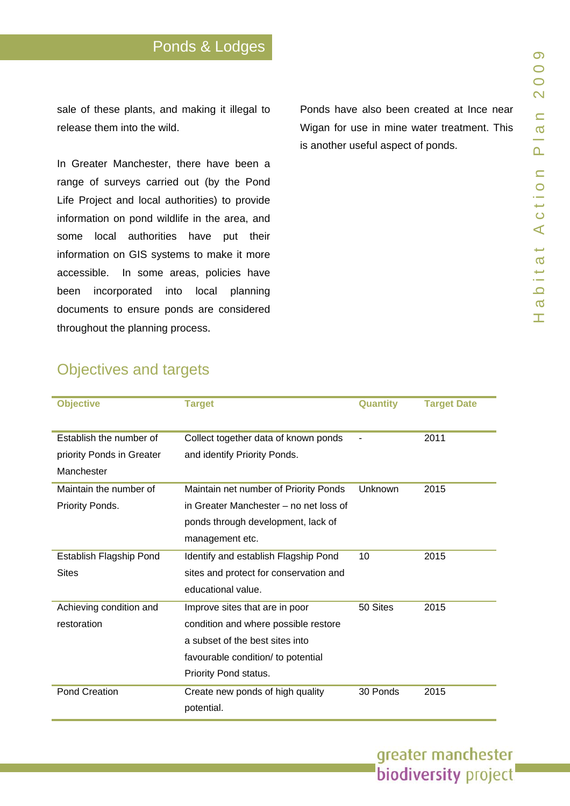sale of these plants, and making it illegal to release the m into the wild.

In Greater Manchester, there have been a range of surveys carrie d out (by the Pond Life Project and local authorities) to provide information on pond wildlife in the area, and some local authorities have p ut their information on GIS s ystems to mak e it more accessible. In some areas, policies have been incorporated into local planning documents to ensure ponds are considered throughout the planning process.

Ponds have also been created at Ince near Wigan for use in mine water treatment. This is another u seful aspect of ponds.

# Objectives and targets

| <b>Objective</b>          | <b>Target</b>                                  | Quantity | <b>Target Date</b> |
|---------------------------|------------------------------------------------|----------|--------------------|
| Establish the number of   | Collect together data of known ponds           |          | 2011               |
| priority Ponds in Greater | and identify Priority Ponds.                   |          |                    |
| Manchester                |                                                |          |                    |
| Maintain the number of    | Maintain net number of Priority Ponds          | Unknown  | 2015               |
| Priority Ponds.           | in Greater Manchester - no net loss of         |          |                    |
|                           | ponds through development, lack of             |          |                    |
|                           | management etc.                                |          |                    |
| Establish Flagship Pond   | Identify and establish Flagship Pond           | 10       | 2015               |
| <b>Sites</b>              | sites and protect for conservation and         |          |                    |
|                           | educational value.                             |          |                    |
| Achieving condition and   | Improve sites that are in poor                 | 50 Sites | 2015               |
| restoration               | condition and where possible restore           |          |                    |
|                           | a subset of the best sites into                |          |                    |
|                           | favourable condition/ to potential             |          |                    |
|                           | Priority Pond status.                          |          |                    |
| Pond Creation             | Create new ponds of high quality<br>potential. | 30 Ponds | 2015               |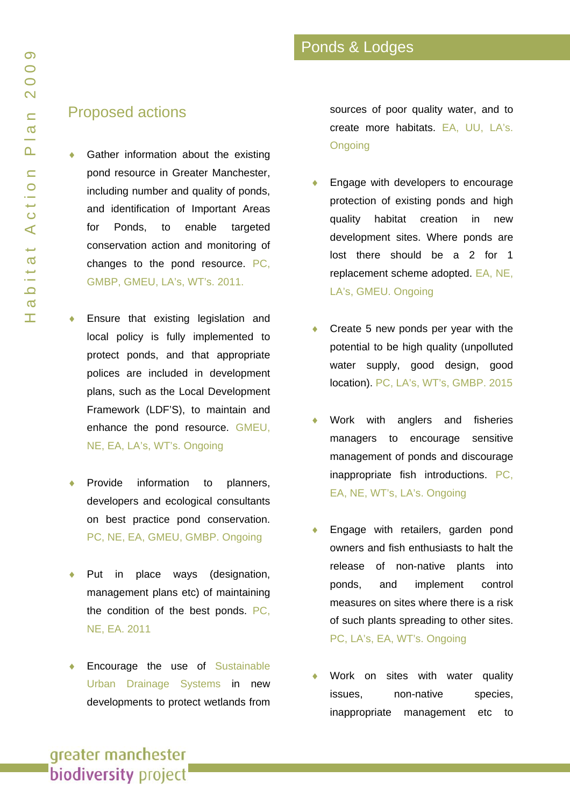### Proposed actions

- Gather information about the existing pond resource in Greater Manchester, including number and quality of ponds, and identification of Important Areas for Ponds, to enable targeted conservation action and monitoring of changes to the pond resource. PC, GMBP, GMEU, LA's, WT's. 2011.
- Ensure that existing legislation and local policy is fully implemented to protect ponds, and that appropriate polices are included in development plans, such as the Local Development Framework (LDF'S), to maintain and enhance the pond resource. GMEU, NE, EA, LA's, WT's. Ongoing
- Provide information to planners, developers and ecological consultants on best practice pond conservation. PC, NE, EA, GMEU, GMBP. Ongoing
- Put in place ways (designation, management plans etc) of maintaining the condition of the best ponds. PC, NE, EA. 2011
- Encourage the use of Sustainable [Urban Drainage Systems](http://www.environment-agency.gov.uk/business/sectors/36998.aspx) in new developments to protect wetlands from

sources of poor quality water, and to create more habitats. EA, UU, LA's. **Ongoing** 

- Engage with developers to encourage protection of existing ponds and high quality habitat creation in new development sites. Where ponds are lost there should be a 2 for 1 replacement scheme adopted. EA, NE, LA's, GMEU. Ongoing
- Create 5 new ponds per year with the potential to be high quality (unpolluted water supply, good design, good location). PC, LA's, WT's, GMBP. 2015
- Work with anglers and fisheries managers to encourage sensitive management of ponds and discourage inappropriate fish introductions. PC, EA, NE, WT's, LA's. Ongoing
- Engage with retailers, garden pond owners and fish enthusiasts to halt the release of non-native plants into ponds, and implement control measures on sites where there is a risk of such plants spreading to other sites. PC, LA's, EA, WT's. Ongoing
- Work on sites with water quality issues, non-native species, inappropriate management etc to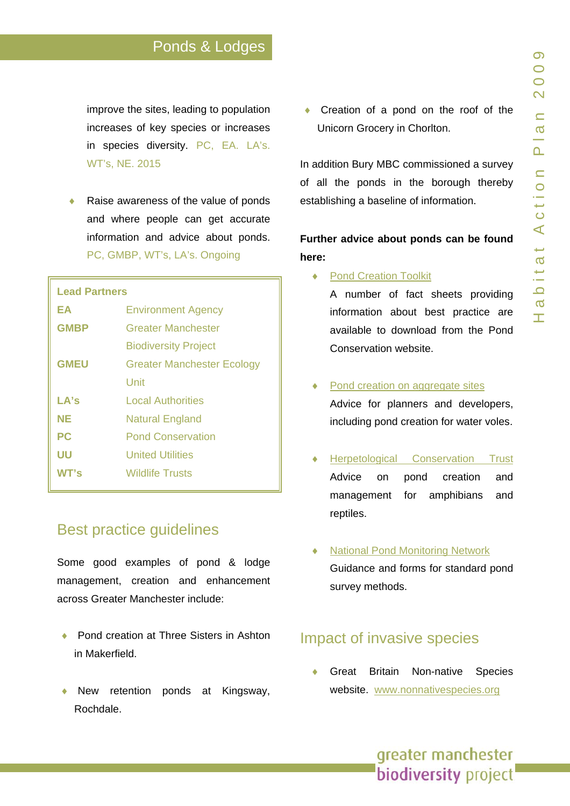# Ponds & Lodges

improve the sites, leading to population increases of key species or increases in species diversity. PC, EA. L A's. WT's, NE. 2015

◆ Raise awareness of the value of ponds and where people can get accurate information and advice about ponds. PC, GMBP, WT's, LA's. Ongoing

# **Lead Partners EA** Environment Agency **GMBP** Greater Manchester Biodiversity Project **GMEU** Greater Manchester Ecology Unit LA's Local Authorities **NE Natural England PC** Pond Conservation **UU** United Utilities **WT's** Wildlife Trusts

# Best practice guidelines

Some good example s of pond & lodge management, creation and enhancement across Greater Manchester include:

- ◆ Pond creation at Three Sisters in Ashton in Makerfiel d.
- ♦ New reten tion ponds at Kingsway, Rochdale.

• Creation of a pond on the roof of the Unicorn Grocery in Chorlton.

In addition B ury MBC commissioned a survey of all the ponds in the borough thereby establish ing a baseline o f information.

**Further advice about ponds can be found here:** 

♦ [Pond Creation Toolkit](http://www.pondconservation.org.uk/millionponds/pondcreationtoolkit/)

A number of fact sheets providing information about best practice are available to download from the Pond Conservation website.

- [Pond creation on aggregate sites](http://www.pondconservation.org.uk/Resources/Pond Conservation/Documents/PDF/aggregate sites toolkit_allinone_110608.pdf) Advice for planners and developers, including p ond creation f or water vol es.
- [Herpetological Conservation Trust](http://www.herpconstrust.org.uk/land_mgt/index.htm) Advice on pond creation and management for amphibians and reptiles.
- **[National Pond Monitoring Network](http://www.pondnetwork.org.uk/Main/methods.aspx)** Guidance and forms for standard pond survey methods.

# Impact of invasive species

Great Britain Non-native Species website. [www.nonnativespecies.or](http://www.nonnativespecies.org/)g